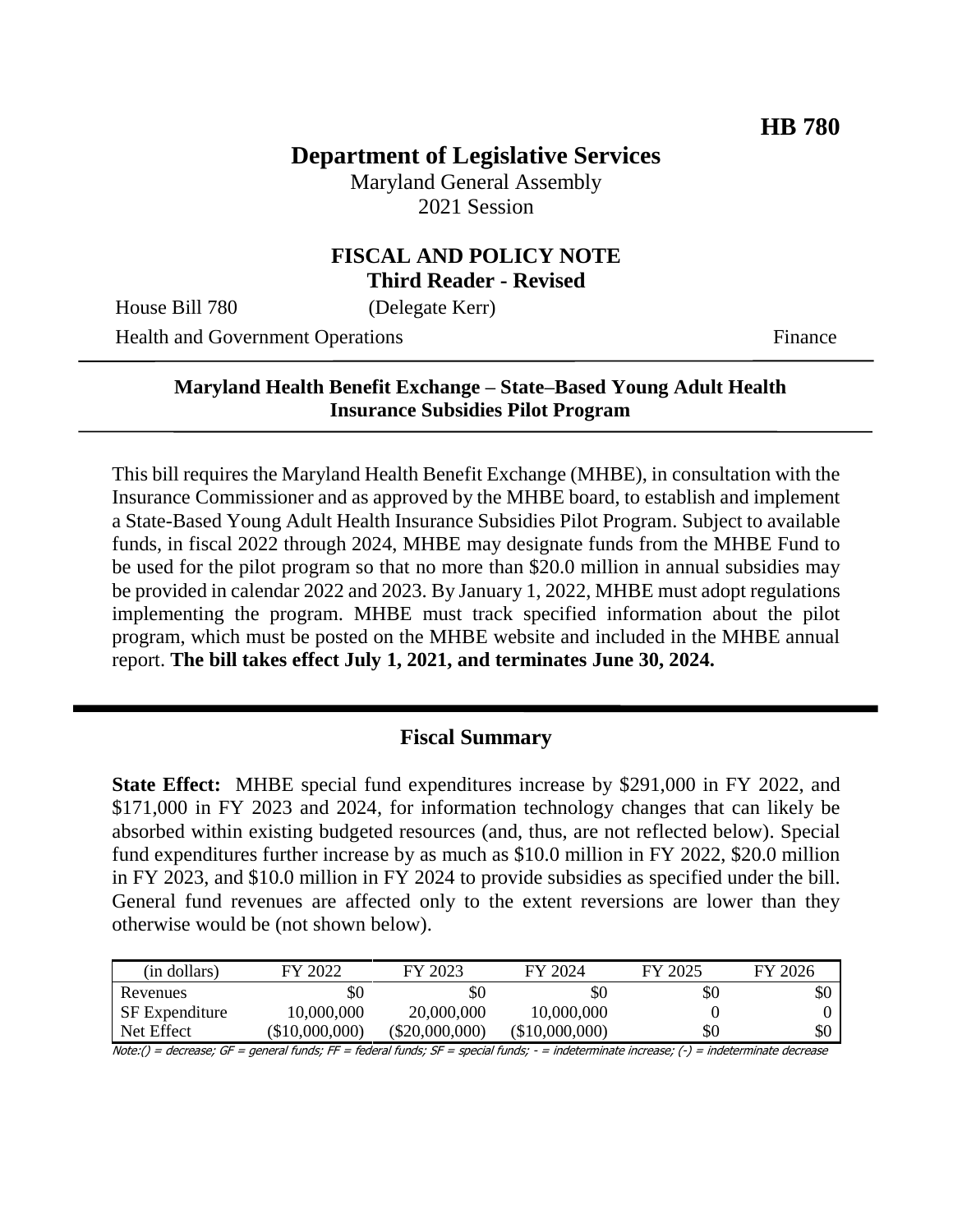# **Department of Legislative Services**

Maryland General Assembly 2021 Session

#### **FISCAL AND POLICY NOTE Third Reader - Revised**

House Bill 780 (Delegate Kerr)

Health and Government Operations Finance

### **Maryland Health Benefit Exchange – State–Based Young Adult Health Insurance Subsidies Pilot Program**

This bill requires the Maryland Health Benefit Exchange (MHBE), in consultation with the Insurance Commissioner and as approved by the MHBE board, to establish and implement a State-Based Young Adult Health Insurance Subsidies Pilot Program. Subject to available funds, in fiscal 2022 through 2024, MHBE may designate funds from the MHBE Fund to be used for the pilot program so that no more than \$20.0 million in annual subsidies may be provided in calendar 2022 and 2023. By January 1, 2022, MHBE must adopt regulations implementing the program. MHBE must track specified information about the pilot program, which must be posted on the MHBE website and included in the MHBE annual report. **The bill takes effect July 1, 2021, and terminates June 30, 2024.**

#### **Fiscal Summary**

**State Effect:** MHBE special fund expenditures increase by \$291,000 in FY 2022, and \$171,000 in FY 2023 and 2024, for information technology changes that can likely be absorbed within existing budgeted resources (and, thus, are not reflected below). Special fund expenditures further increase by as much as \$10.0 million in FY 2022, \$20.0 million in FY 2023, and \$10.0 million in FY 2024 to provide subsidies as specified under the bill. General fund revenues are affected only to the extent reversions are lower than they otherwise would be (not shown below).

| (in dollars)          | 2022<br>FY       | FY 2023          | FY 2024        | FY 2025 | FY 2026 |
|-----------------------|------------------|------------------|----------------|---------|---------|
| Revenues              | \$0              | \$0              | \$0            | \$0     | \$0     |
| <b>SF</b> Expenditure | 10,000,000       | 20,000,000       | 10,000,000     |         |         |
| Net Effect            | $(\$10,000,000)$ | $(\$20,000,000)$ | (\$10,000,000) | \$0     | \$0     |

Note:() = decrease; GF = general funds; FF = federal funds; SF = special funds; - = indeterminate increase; (-) = indeterminate decrease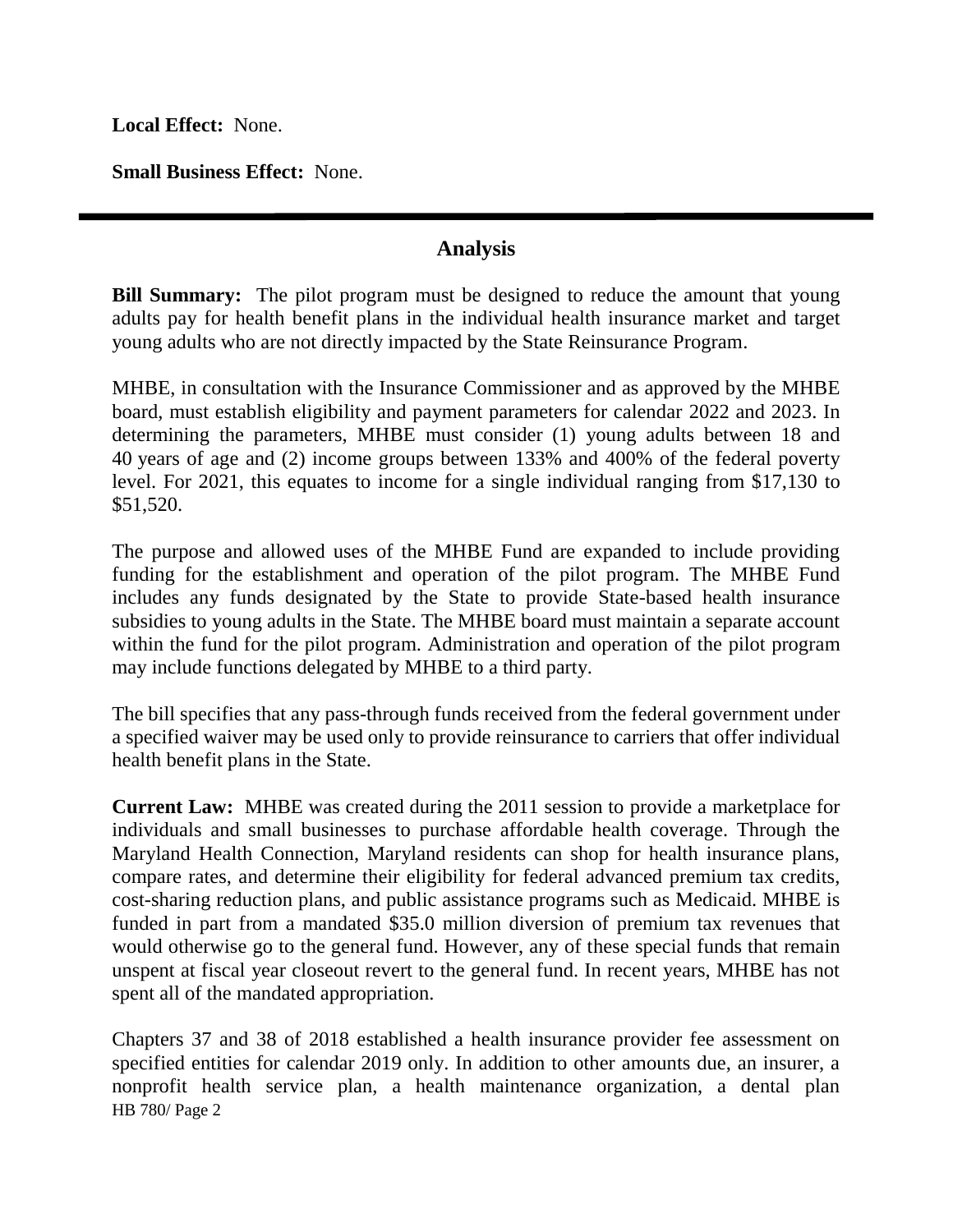**Local Effect:** None.

**Small Business Effect:** None.

#### **Analysis**

**Bill Summary:** The pilot program must be designed to reduce the amount that young adults pay for health benefit plans in the individual health insurance market and target young adults who are not directly impacted by the State Reinsurance Program.

MHBE, in consultation with the Insurance Commissioner and as approved by the MHBE board, must establish eligibility and payment parameters for calendar 2022 and 2023. In determining the parameters, MHBE must consider (1) young adults between 18 and 40 years of age and (2) income groups between 133% and 400% of the federal poverty level. For 2021, this equates to income for a single individual ranging from \$17,130 to \$51,520.

The purpose and allowed uses of the MHBE Fund are expanded to include providing funding for the establishment and operation of the pilot program. The MHBE Fund includes any funds designated by the State to provide State-based health insurance subsidies to young adults in the State. The MHBE board must maintain a separate account within the fund for the pilot program. Administration and operation of the pilot program may include functions delegated by MHBE to a third party.

The bill specifies that any pass-through funds received from the federal government under a specified waiver may be used only to provide reinsurance to carriers that offer individual health benefit plans in the State.

**Current Law:** MHBE was created during the 2011 session to provide a marketplace for individuals and small businesses to purchase affordable health coverage. Through the Maryland Health Connection, Maryland residents can shop for health insurance plans, compare rates, and determine their eligibility for federal advanced premium tax credits, cost-sharing reduction plans, and public assistance programs such as Medicaid. MHBE is funded in part from a mandated \$35.0 million diversion of premium tax revenues that would otherwise go to the general fund. However, any of these special funds that remain unspent at fiscal year closeout revert to the general fund. In recent years, MHBE has not spent all of the mandated appropriation.

HB 780/ Page 2 Chapters 37 and 38 of 2018 established a health insurance provider fee assessment on specified entities for calendar 2019 only. In addition to other amounts due, an insurer, a nonprofit health service plan, a health maintenance organization, a dental plan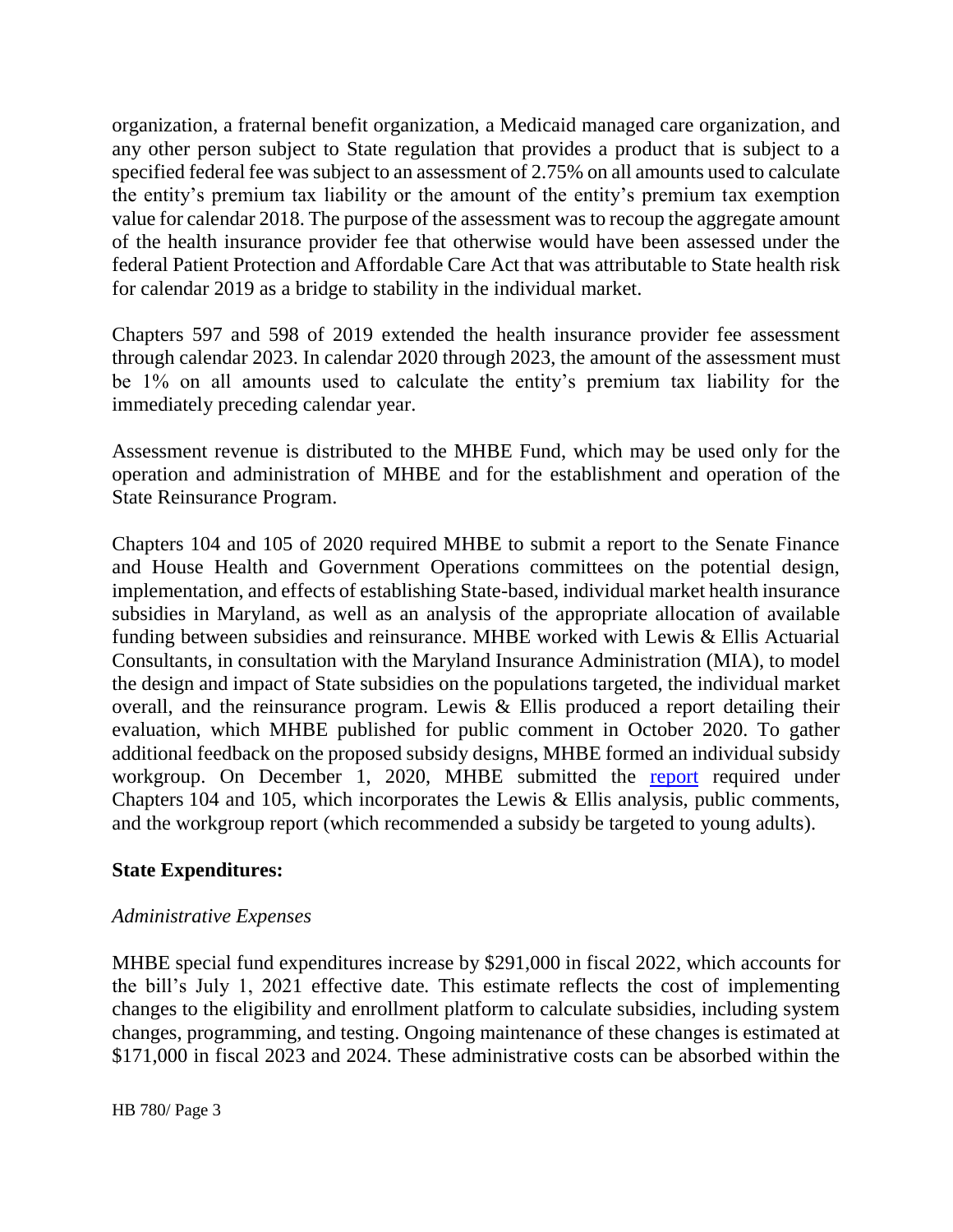organization, a fraternal benefit organization, a Medicaid managed care organization, and any other person subject to State regulation that provides a product that is subject to a specified federal fee was subject to an assessment of 2.75% on all amounts used to calculate the entity's premium tax liability or the amount of the entity's premium tax exemption value for calendar 2018. The purpose of the assessment was to recoup the aggregate amount of the health insurance provider fee that otherwise would have been assessed under the federal Patient Protection and Affordable Care Act that was attributable to State health risk for calendar 2019 as a bridge to stability in the individual market.

Chapters 597 and 598 of 2019 extended the health insurance provider fee assessment through calendar 2023. In calendar 2020 through 2023, the amount of the assessment must be 1% on all amounts used to calculate the entity's premium tax liability for the immediately preceding calendar year.

Assessment revenue is distributed to the MHBE Fund, which may be used only for the operation and administration of MHBE and for the establishment and operation of the State Reinsurance Program.

Chapters 104 and 105 of 2020 required MHBE to submit a report to the Senate Finance and House Health and Government Operations committees on the potential design, implementation, and effects of establishing State-based, individual market health insurance subsidies in Maryland, as well as an analysis of the appropriate allocation of available funding between subsidies and reinsurance. MHBE worked with Lewis & Ellis Actuarial Consultants, in consultation with the Maryland Insurance Administration (MIA), to model the design and impact of State subsidies on the populations targeted, the individual market overall, and the reinsurance program. Lewis & Ellis produced a report detailing their evaluation, which MHBE published for public comment in October 2020. To gather additional feedback on the proposed subsidy designs, MHBE formed an individual subsidy workgroup. On December 1, 2020, MHBE submitted the [report](https://www.marylandhbe.com/wp-content/uploads/2020/12/SB124HB196_Chpt-104_2020_MHBE_State-Based-Subsidy-Report.pdf) required under Chapters 104 and 105, which incorporates the Lewis & Ellis analysis, public comments, and the workgroup report (which recommended a subsidy be targeted to young adults).

#### **State Expenditures:**

#### *Administrative Expenses*

MHBE special fund expenditures increase by \$291,000 in fiscal 2022, which accounts for the bill's July 1, 2021 effective date*.* This estimate reflects the cost of implementing changes to the eligibility and enrollment platform to calculate subsidies, including system changes, programming, and testing. Ongoing maintenance of these changes is estimated at \$171,000 in fiscal 2023 and 2024. These administrative costs can be absorbed within the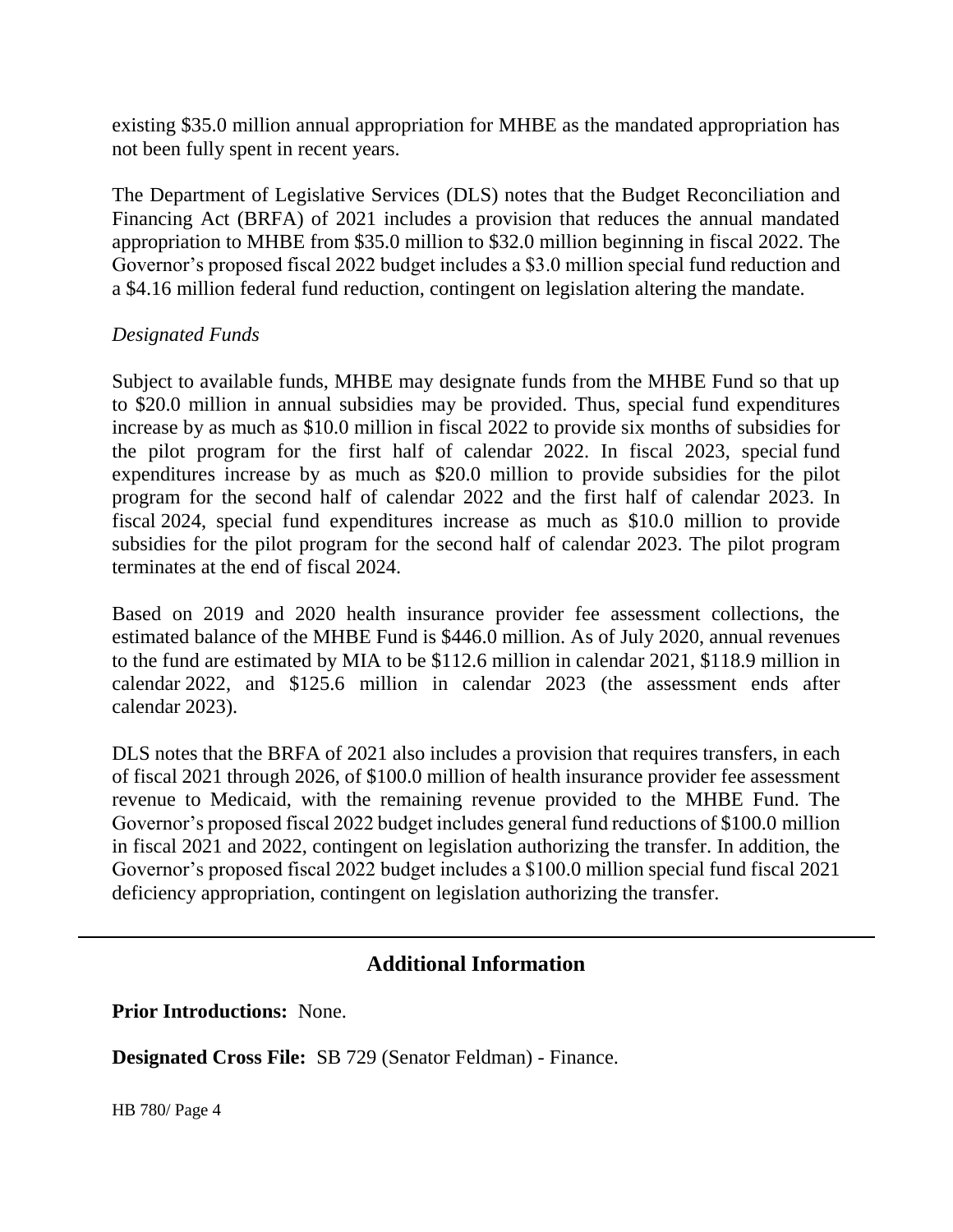existing \$35.0 million annual appropriation for MHBE as the mandated appropriation has not been fully spent in recent years.

The Department of Legislative Services (DLS) notes that the Budget Reconciliation and Financing Act (BRFA) of 2021 includes a provision that reduces the annual mandated appropriation to MHBE from \$35.0 million to \$32.0 million beginning in fiscal 2022. The Governor's proposed fiscal 2022 budget includes a \$3.0 million special fund reduction and a \$4.16 million federal fund reduction, contingent on legislation altering the mandate.

#### *Designated Funds*

Subject to available funds, MHBE may designate funds from the MHBE Fund so that up to \$20.0 million in annual subsidies may be provided. Thus, special fund expenditures increase by as much as \$10.0 million in fiscal 2022 to provide six months of subsidies for the pilot program for the first half of calendar 2022. In fiscal 2023, special fund expenditures increase by as much as \$20.0 million to provide subsidies for the pilot program for the second half of calendar 2022 and the first half of calendar 2023. In fiscal 2024, special fund expenditures increase as much as \$10.0 million to provide subsidies for the pilot program for the second half of calendar 2023. The pilot program terminates at the end of fiscal 2024.

Based on 2019 and 2020 health insurance provider fee assessment collections, the estimated balance of the MHBE Fund is \$446.0 million. As of July 2020, annual revenues to the fund are estimated by MIA to be \$112.6 million in calendar 2021, \$118.9 million in calendar 2022, and \$125.6 million in calendar 2023 (the assessment ends after calendar 2023).

DLS notes that the BRFA of 2021 also includes a provision that requires transfers, in each of fiscal 2021 through 2026, of \$100.0 million of health insurance provider fee assessment revenue to Medicaid, with the remaining revenue provided to the MHBE Fund. The Governor's proposed fiscal 2022 budget includes general fund reductions of \$100.0 million in fiscal 2021 and 2022, contingent on legislation authorizing the transfer. In addition, the Governor's proposed fiscal 2022 budget includes a \$100.0 million special fund fiscal 2021 deficiency appropriation, contingent on legislation authorizing the transfer.

## **Additional Information**

**Prior Introductions:** None.

**Designated Cross File:** SB 729 (Senator Feldman) - Finance.